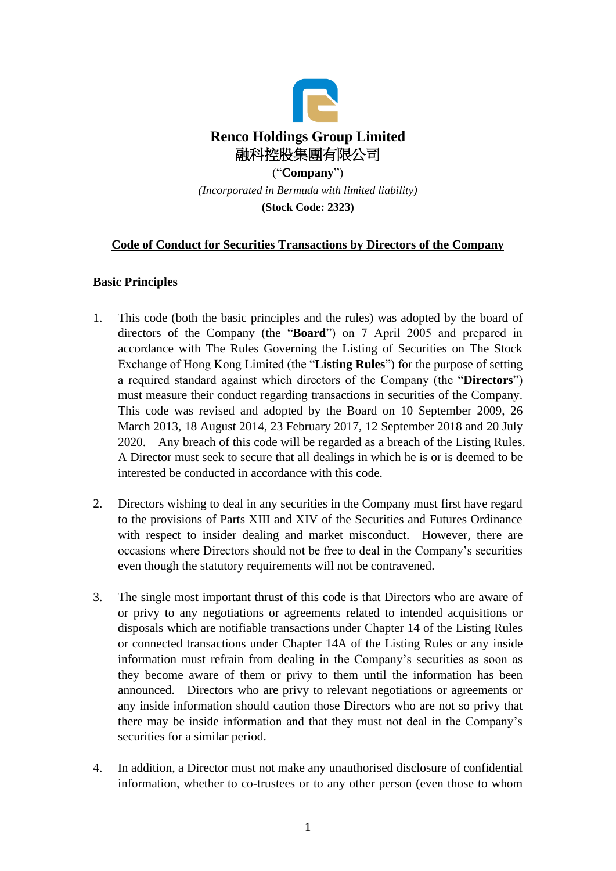

*(Incorporated in Bermuda with limited liability)* **(Stock Code: 2323)**

# **Code of Conduct for Securities Transactions by Directors of the Company**

#### **Basic Principles**

- 1. This code (both the basic principles and the rules) was adopted by the board of directors of the Company (the "**Board**") on 7 April 2005 and prepared in accordance with The Rules Governing the Listing of Securities on The Stock Exchange of Hong Kong Limited (the "**Listing Rules**") for the purpose of setting a required standard against which directors of the Company (the "**Directors**") must measure their conduct regarding transactions in securities of the Company. This code was revised and adopted by the Board on 10 September 2009, 26 March 2013, 18 August 2014, 23 February 2017, 12 September 2018 and 20 July 2020. Any breach of this code will be regarded as a breach of the Listing Rules. A Director must seek to secure that all dealings in which he is or is deemed to be interested be conducted in accordance with this code.
- 2. Directors wishing to deal in any securities in the Company must first have regard to the provisions of Parts XIII and XIV of the Securities and Futures Ordinance with respect to insider dealing and market misconduct. However, there are occasions where Directors should not be free to deal in the Company's securities even though the statutory requirements will not be contravened.
- 3. The single most important thrust of this code is that Directors who are aware of or privy to any negotiations or agreements related to intended acquisitions or disposals which are notifiable transactions under Chapter 14 of the Listing Rules or connected transactions under Chapter 14A of the Listing Rules or any inside information must refrain from dealing in the Company's securities as soon as they become aware of them or privy to them until the information has been announced. Directors who are privy to relevant negotiations or agreements or any inside information should caution those Directors who are not so privy that there may be inside information and that they must not deal in the Company's securities for a similar period.
- 4. In addition, a Director must not make any unauthorised disclosure of confidential information, whether to co-trustees or to any other person (even those to whom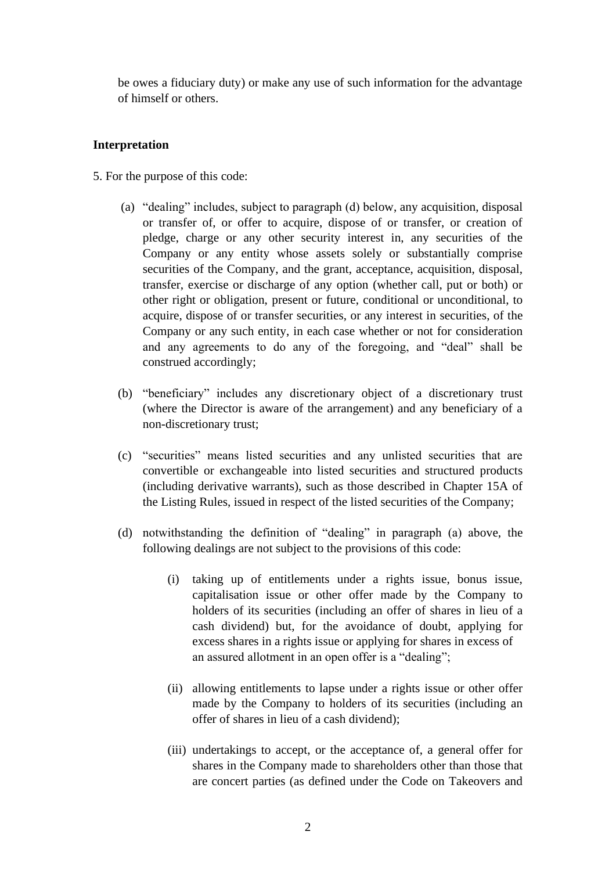be owes a fiduciary duty) or make any use of such information for the advantage of himself or others.

# **Interpretation**

- 5. For the purpose of this code:
	- (a) "dealing" includes, subject to paragraph (d) below, any acquisition, disposal or transfer of, or offer to acquire, dispose of or transfer, or creation of pledge, charge or any other security interest in, any securities of the Company or any entity whose assets solely or substantially comprise securities of the Company, and the grant, acceptance, acquisition, disposal, transfer, exercise or discharge of any option (whether call, put or both) or other right or obligation, present or future, conditional or unconditional, to acquire, dispose of or transfer securities, or any interest in securities, of the Company or any such entity, in each case whether or not for consideration and any agreements to do any of the foregoing, and "deal" shall be construed accordingly;
	- (b) "beneficiary" includes any discretionary object of a discretionary trust (where the Director is aware of the arrangement) and any beneficiary of a non-discretionary trust;
	- (c) "securities" means listed securities and any unlisted securities that are convertible or exchangeable into listed securities and structured products (including derivative warrants), such as those described in Chapter 15A of the Listing Rules, issued in respect of the listed securities of the Company;
	- (d) notwithstanding the definition of "dealing" in paragraph (a) above, the following dealings are not subject to the provisions of this code:
		- (i) taking up of entitlements under a rights issue, bonus issue, capitalisation issue or other offer made by the Company to holders of its securities (including an offer of shares in lieu of a cash dividend) but, for the avoidance of doubt, applying for excess shares in a rights issue or applying for shares in excess of an assured allotment in an open offer is a "dealing";
		- (ii) allowing entitlements to lapse under a rights issue or other offer made by the Company to holders of its securities (including an offer of shares in lieu of a cash dividend);
		- (iii) undertakings to accept, or the acceptance of, a general offer for shares in the Company made to shareholders other than those that are concert parties (as defined under the Code on Takeovers and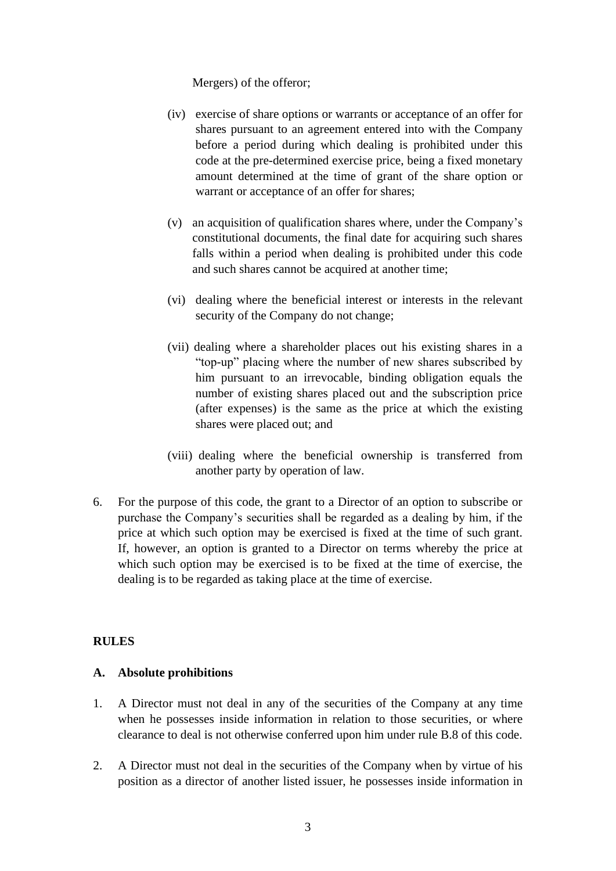Mergers) of the offeror;

- (iv) exercise of share options or warrants or acceptance of an offer for shares pursuant to an agreement entered into with the Company before a period during which dealing is prohibited under this code at the pre-determined exercise price, being a fixed monetary amount determined at the time of grant of the share option or warrant or acceptance of an offer for shares;
- (v) an acquisition of qualification shares where, under the Company's constitutional documents, the final date for acquiring such shares falls within a period when dealing is prohibited under this code and such shares cannot be acquired at another time;
- (vi) dealing where the beneficial interest or interests in the relevant security of the Company do not change;
- (vii) dealing where a shareholder places out his existing shares in a "top-up" placing where the number of new shares subscribed by him pursuant to an irrevocable, binding obligation equals the number of existing shares placed out and the subscription price (after expenses) is the same as the price at which the existing shares were placed out; and
- (viii) dealing where the beneficial ownership is transferred from another party by operation of law.
- 6. For the purpose of this code, the grant to a Director of an option to subscribe or purchase the Company's securities shall be regarded as a dealing by him, if the price at which such option may be exercised is fixed at the time of such grant. If, however, an option is granted to a Director on terms whereby the price at which such option may be exercised is to be fixed at the time of exercise, the dealing is to be regarded as taking place at the time of exercise.

# **RULES**

#### **A. Absolute prohibitions**

- 1. A Director must not deal in any of the securities of the Company at any time when he possesses inside information in relation to those securities, or where clearance to deal is not otherwise conferred upon him under rule B.8 of this code.
- 2. A Director must not deal in the securities of the Company when by virtue of his position as a director of another listed issuer, he possesses inside information in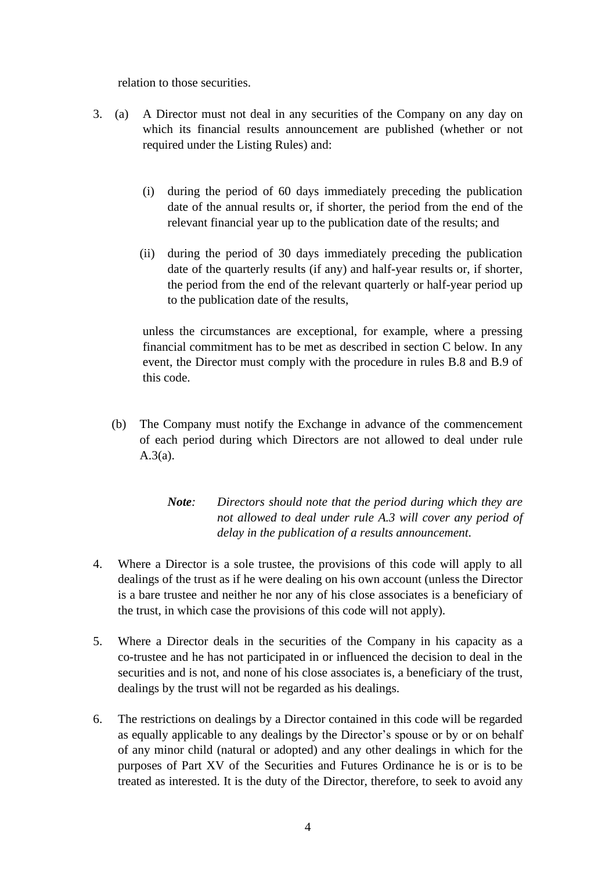relation to those securities.

- 3. (a) A Director must not deal in any securities of the Company on any day on which its financial results announcement are published (whether or not required under the Listing Rules) and:
	- (i) during the period of 60 days immediately preceding the publication date of the annual results or, if shorter, the period from the end of the relevant financial year up to the publication date of the results; and
	- (ii) during the period of 30 days immediately preceding the publication date of the quarterly results (if any) and half-year results or, if shorter, the period from the end of the relevant quarterly or half-year period up to the publication date of the results,

unless the circumstances are exceptional, for example, where a pressing financial commitment has to be met as described in section C below. In any event, the Director must comply with the procedure in rules B.8 and B.9 of this code.

- (b) The Company must notify the Exchange in advance of the commencement of each period during which Directors are not allowed to deal under rule A.3(a).
	- *Note: Directors should note that the period during which they are not allowed to deal under rule A.3 will cover any period of delay in the publication of a results announcement.*
- 4. Where a Director is a sole trustee, the provisions of this code will apply to all dealings of the trust as if he were dealing on his own account (unless the Director is a bare trustee and neither he nor any of his close associates is a beneficiary of the trust, in which case the provisions of this code will not apply).
- 5. Where a Director deals in the securities of the Company in his capacity as a co-trustee and he has not participated in or influenced the decision to deal in the securities and is not, and none of his close associates is, a beneficiary of the trust, dealings by the trust will not be regarded as his dealings.
- 6. The restrictions on dealings by a Director contained in this code will be regarded as equally applicable to any dealings by the Director's spouse or by or on behalf of any minor child (natural or adopted) and any other dealings in which for the purposes of Part XV of the Securities and Futures Ordinance he is or is to be treated as interested. It is the duty of the Director, therefore, to seek to avoid any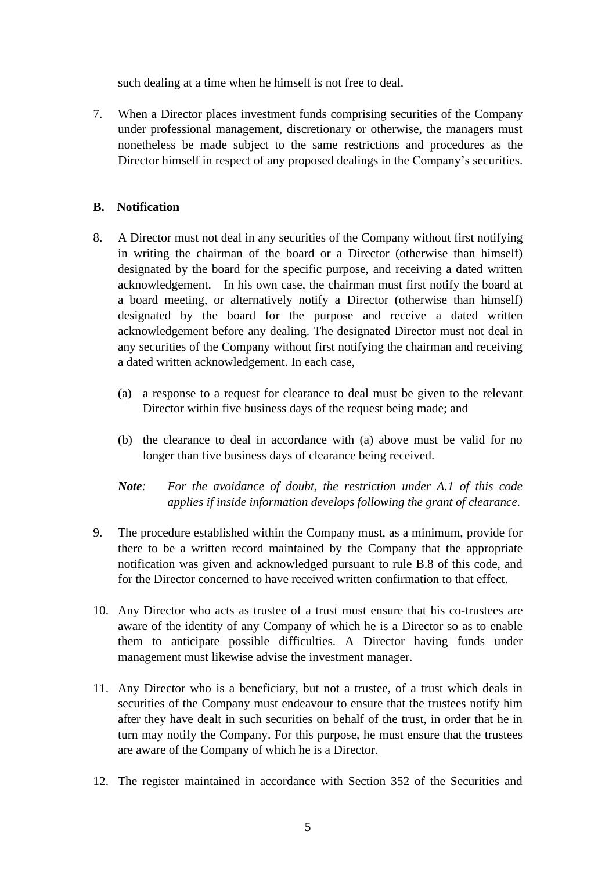such dealing at a time when he himself is not free to deal.

7. When a Director places investment funds comprising securities of the Company under professional management, discretionary or otherwise, the managers must nonetheless be made subject to the same restrictions and procedures as the Director himself in respect of any proposed dealings in the Company's securities.

# **B. Notification**

- 8. A Director must not deal in any securities of the Company without first notifying in writing the chairman of the board or a Director (otherwise than himself) designated by the board for the specific purpose, and receiving a dated written acknowledgement. In his own case, the chairman must first notify the board at a board meeting, or alternatively notify a Director (otherwise than himself) designated by the board for the purpose and receive a dated written acknowledgement before any dealing. The designated Director must not deal in any securities of the Company without first notifying the chairman and receiving a dated written acknowledgement. In each case,
	- (a) a response to a request for clearance to deal must be given to the relevant Director within five business days of the request being made; and
	- (b) the clearance to deal in accordance with (a) above must be valid for no longer than five business days of clearance being received.
	- *Note: For the avoidance of doubt, the restriction under A.1 of this code applies if inside information develops following the grant of clearance.*
- 9. The procedure established within the Company must, as a minimum, provide for there to be a written record maintained by the Company that the appropriate notification was given and acknowledged pursuant to rule B.8 of this code, and for the Director concerned to have received written confirmation to that effect.
- 10. Any Director who acts as trustee of a trust must ensure that his co-trustees are aware of the identity of any Company of which he is a Director so as to enable them to anticipate possible difficulties. A Director having funds under management must likewise advise the investment manager.
- 11. Any Director who is a beneficiary, but not a trustee, of a trust which deals in securities of the Company must endeavour to ensure that the trustees notify him after they have dealt in such securities on behalf of the trust, in order that he in turn may notify the Company. For this purpose, he must ensure that the trustees are aware of the Company of which he is a Director.
- 12. The register maintained in accordance with Section 352 of the Securities and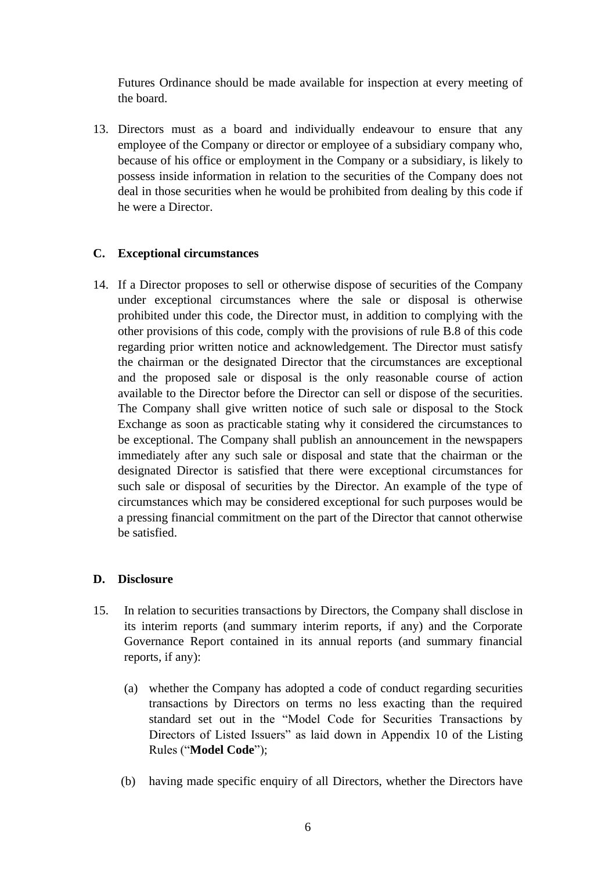Futures Ordinance should be made available for inspection at every meeting of the board.

13. Directors must as a board and individually endeavour to ensure that any employee of the Company or director or employee of a subsidiary company who, because of his office or employment in the Company or a subsidiary, is likely to possess inside information in relation to the securities of the Company does not deal in those securities when he would be prohibited from dealing by this code if he were a Director.

# **C. Exceptional circumstances**

14. If a Director proposes to sell or otherwise dispose of securities of the Company under exceptional circumstances where the sale or disposal is otherwise prohibited under this code, the Director must, in addition to complying with the other provisions of this code, comply with the provisions of rule B.8 of this code regarding prior written notice and acknowledgement. The Director must satisfy the chairman or the designated Director that the circumstances are exceptional and the proposed sale or disposal is the only reasonable course of action available to the Director before the Director can sell or dispose of the securities. The Company shall give written notice of such sale or disposal to the Stock Exchange as soon as practicable stating why it considered the circumstances to be exceptional. The Company shall publish an announcement in the newspapers immediately after any such sale or disposal and state that the chairman or the designated Director is satisfied that there were exceptional circumstances for such sale or disposal of securities by the Director. An example of the type of circumstances which may be considered exceptional for such purposes would be a pressing financial commitment on the part of the Director that cannot otherwise be satisfied.

# **D. Disclosure**

- 15. In relation to securities transactions by Directors, the Company shall disclose in its interim reports (and summary interim reports, if any) and the Corporate Governance Report contained in its annual reports (and summary financial reports, if any):
	- (a) whether the Company has adopted a code of conduct regarding securities transactions by Directors on terms no less exacting than the required standard set out in the "Model Code for Securities Transactions by Directors of Listed Issuers" as laid down in Appendix 10 of the Listing Rules ("**Model Code**");
	- (b) having made specific enquiry of all Directors, whether the Directors have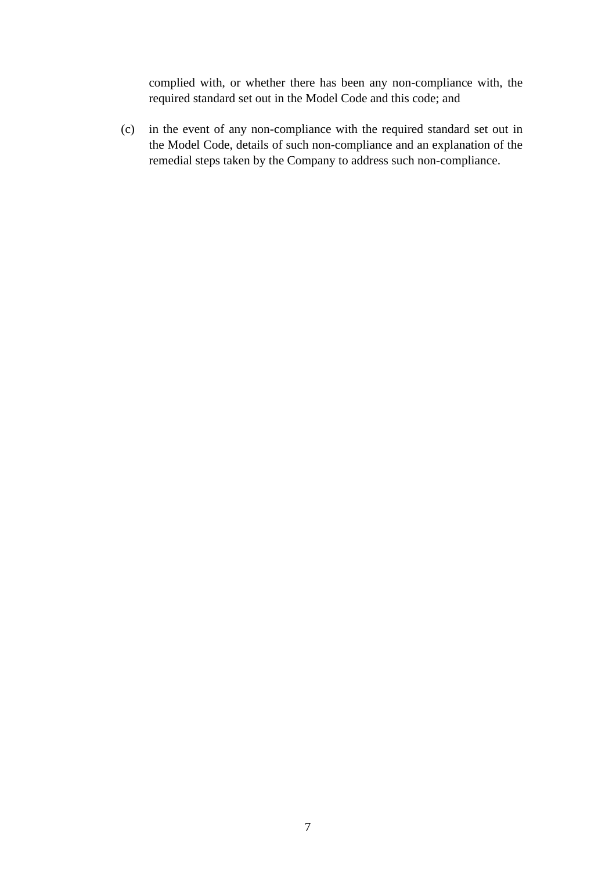complied with, or whether there has been any non-compliance with, the required standard set out in the Model Code and this code; and

(c) in the event of any non-compliance with the required standard set out in the Model Code, details of such non-compliance and an explanation of the remedial steps taken by the Company to address such non-compliance.